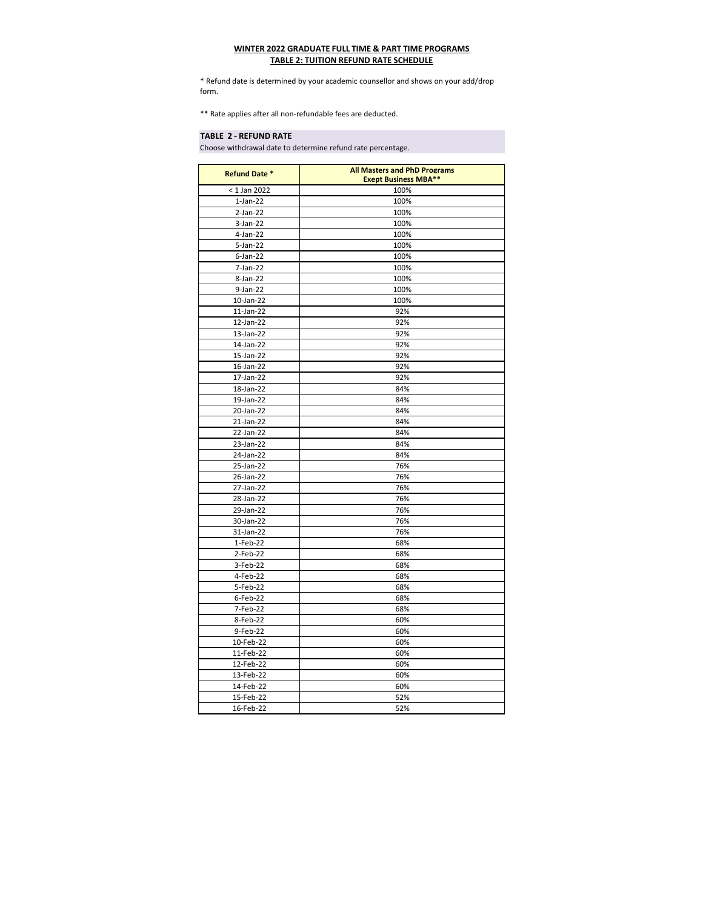## **WINTER 2022 GRADUATE FULL TIME & PART TIME PROGRAMS TABLE 2: TUITION REFUND RATE SCHEDULE**

\* Refund date is determined by your academic counsellor and shows on your add/drop form.

\*\* Rate applies after all non-refundable fees are deducted.

## **TABLE 2 - REFUND RATE**

Choose withdrawal date to determine refund rate percentage.

| <b>Refund Date *</b> | <b>All Masters and PhD Programs</b><br><b>Exept Business MBA**</b> |
|----------------------|--------------------------------------------------------------------|
| $<$ 1 Jan 2022       | 100%                                                               |
| $1-Jan-22$           | 100%                                                               |
| $2-Jan-22$           | 100%                                                               |
| $3-Jan-22$           | 100%                                                               |
| 4-Jan-22             | 100%                                                               |
| $5 - Jan-22$         | 100%                                                               |
| $6$ -Jan-22          | 100%                                                               |
| 7-Jan-22             | 100%                                                               |
| 8-Jan-22             | 100%                                                               |
| 9-Jan-22             | 100%                                                               |
| 10-Jan-22            | 100%                                                               |
| $11$ -Jan-22         | 92%                                                                |
| 12-Jan-22            | 92%                                                                |
| 13-Jan-22            | 92%                                                                |
| 14-Jan-22            | 92%                                                                |
| 15-Jan-22            | 92%                                                                |
| 16-Jan-22            | 92%                                                                |
| 17-Jan-22            | 92%                                                                |
| 18-Jan-22            | 84%                                                                |
| 19-Jan-22            | 84%                                                                |
|                      | 84%                                                                |
| 20-Jan-22            |                                                                    |
| 21-Jan-22            | 84%                                                                |
| 22-Jan-22            | 84%                                                                |
| 23-Jan-22            | 84%                                                                |
| 24-Jan-22            | 84%                                                                |
| 25-Jan-22            | 76%                                                                |
| 26-Jan-22            | 76%                                                                |
| 27-Jan-22            | 76%                                                                |
| 28-Jan-22            | 76%                                                                |
| 29-Jan-22            | 76%                                                                |
| 30-Jan-22            | 76%                                                                |
| 31-Jan-22            | 76%                                                                |
| 1-Feb-22             | 68%                                                                |
| 2-Feb-22             | 68%                                                                |
| 3-Feb-22             | 68%                                                                |
| 4-Feb-22             | 68%                                                                |
| 5-Feb-22             | 68%                                                                |
| 6-Feb-22             | 68%                                                                |
| 7-Feb-22             | 68%                                                                |
| 8-Feb-22             | 60%                                                                |
| 9-Feb-22             | 60%                                                                |
| 10-Feb-22            | 60%                                                                |
| 11-Feb-22            | 60%                                                                |
| 12-Feb-22            | 60%                                                                |
| 13-Feb-22            | 60%                                                                |
| 14-Feb-22            | 60%                                                                |
| 15-Feb-22            | 52%                                                                |
| 16-Feb-22            | 52%                                                                |